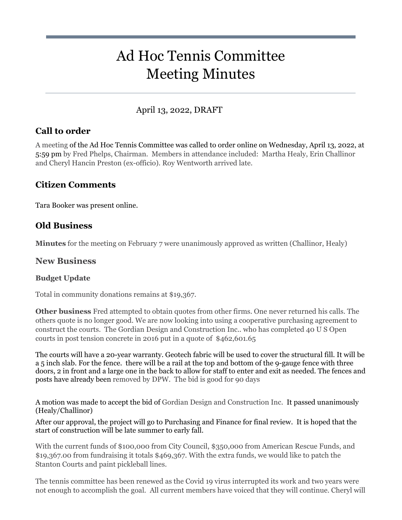# Ad Hoc Tennis Committee Meeting Minutes

# April 13, 2022, DRAFT

## **Call to order**

A meeting of the Ad Hoc Tennis Committee was called to order online on Wednesday, April 13, 2022, at 5:59 pm by Fred Phelps, Chairman. Members in attendance included: Martha Healy, Erin Challinor and Cheryl Hancin Preston (ex-officio). Roy Wentworth arrived late.

## **Citizen Comments**

Tara Booker was present online.

## **Old Business**

**Minutes** for the meeting on February 7 were unanimously approved as written (Challinor, Healy)

#### **New Business**

#### **Budget Update**

Total in community donations remains at \$19,367.

**Other business** Fred attempted to obtain quotes from other firms. One never returned his calls. The others quote is no longer good. We are now looking into using a cooperative purchasing agreement to construct the courts. The Gordian Design and Construction Inc.. who has completed 40 U S Open courts in post tension concrete in 2016 put in a quote of \$462,601.65

The courts will have a 20-year warranty. Geotech fabric will be used to cover the structural fill. It will be a 5 inch slab. For the fence. there will be a rail at the top and bottom of the 9-gauge fence with three doors, 2 in front and a large one in the back to allow for staff to enter and exit as needed. The fences and posts have already been removed by DPW. The bid is good for 90 days

A motion was made to accept the bid of Gordian Design and Construction Inc. It passed unanimously (Healy/Challinor)

After our approval, the project will go to Purchasing and Finance for final review. It is hoped that the start of construction will be late summer to early fall.

With the current funds of \$100,000 from City Council, \$350,000 from American Rescue Funds, and \$19,367.00 from fundraising it totals \$469,367. With the extra funds, we would like to patch the Stanton Courts and paint pickleball lines.

The tennis committee has been renewed as the Covid 19 virus interrupted its work and two years were not enough to accomplish the goal. All current members have voiced that they will continue. Cheryl will